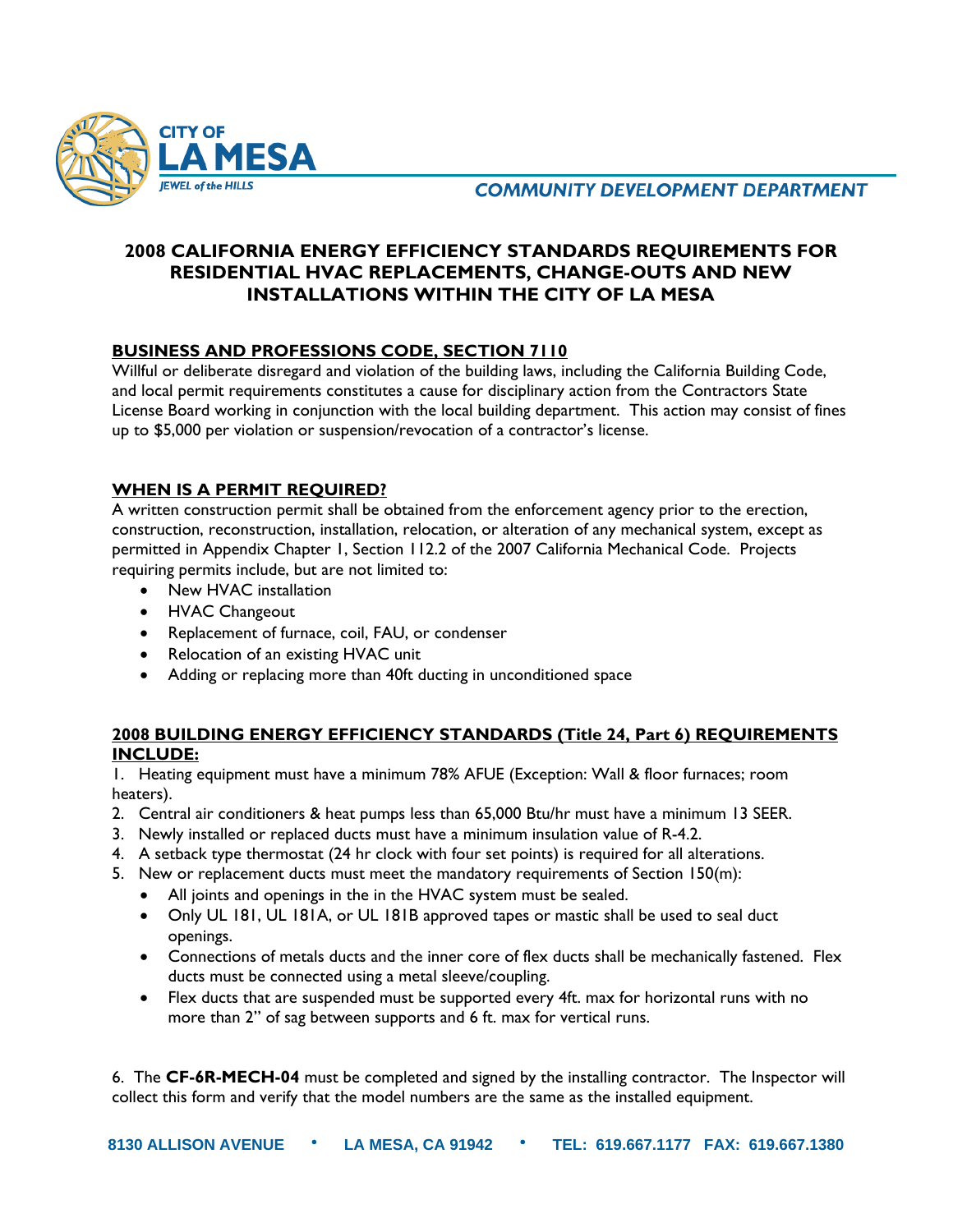

**COMMUNITY DEVELOPMENT DEPARTMENT** 

# **2008 CALIFORNIA ENERGY EFFICIENCY STANDARDS REQUIREMENTS FOR RESIDENTIAL HVAC REPLACEMENTS, CHANGE-OUTS AND NEW INSTALLATIONS WITHIN THE CITY OF LA MESA**

### **BUSINESS AND PROFESSIONS CODE, SECTION 7110**

Willful or deliberate disregard and violation of the building laws, including the California Building Code, and local permit requirements constitutes a cause for disciplinary action from the Contractors State License Board working in conjunction with the local building department. This action may consist of fines up to \$5,000 per violation or suspension/revocation of a contractor's license.

### **WHEN IS A PERMIT REQUIRED?**

A written construction permit shall be obtained from the enforcement agency prior to the erection, construction, reconstruction, installation, relocation, or alteration of any mechanical system, except as permitted in Appendix Chapter 1, Section 112.2 of the 2007 California Mechanical Code. Projects requiring permits include, but are not limited to:

- New HVAC installation
- HVAC Changeout
- Replacement of furnace, coil, FAU, or condenser
- Relocation of an existing HVAC unit
- Adding or replacing more than 40ft ducting in unconditioned space

### **2008 BUILDING ENERGY EFFICIENCY STANDARDS (Title 24, Part 6) REQUIREMENTS INCLUDE:**

1. Heating equipment must have a minimum 78% AFUE (Exception: Wall & floor furnaces; room heaters).

- 2. Central air conditioners & heat pumps less than 65,000 Btu/hr must have a minimum 13 SEER.
- 3. Newly installed or replaced ducts must have a minimum insulation value of R-4.2.
- 4. A setback type thermostat (24 hr clock with four set points) is required for all alterations.
- 5. New or replacement ducts must meet the mandatory requirements of Section 150(m):
	- All joints and openings in the in the HVAC system must be sealed.
	- Only UL 181, UL 181A, or UL 181B approved tapes or mastic shall be used to seal duct openings.
	- Connections of metals ducts and the inner core of flex ducts shall be mechanically fastened. Flex ducts must be connected using a metal sleeve/coupling.
	- Flex ducts that are suspended must be supported every 4ft. max for horizontal runs with no more than 2" of sag between supports and 6 ft. max for vertical runs.

6. The **CF-6R-MECH-04** must be completed and signed by the installing contractor. The Inspector will collect this form and verify that the model numbers are the same as the installed equipment.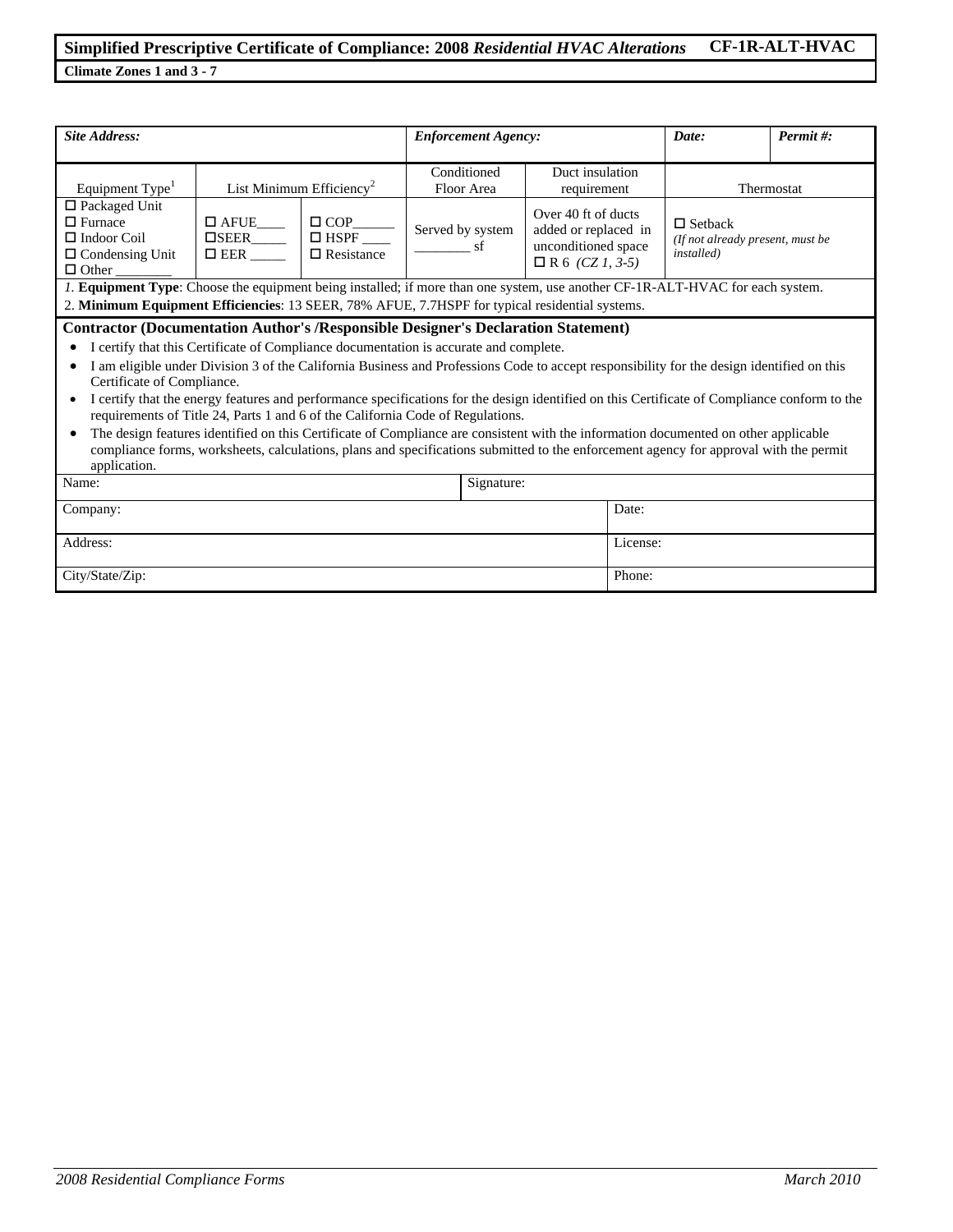### **Simplified Prescriptive Certificate of Compliance: 2008** *Residential HVAC Alterations* **CF-1R-ALT-HVAC Climate Zones 1 and 3 - 7**

*Site Address: Enforcement Agency: Date: Permit #:* Equipment Type<sup>1</sup> List Minimum Efficiency<sup>2</sup> Conditioned Floor Area Duct insulation requirement Thermostat □ Packaged Unit  $\square$  Furnace □ Indoor Coil □ Condensing Unit  $\Box$  Other  $\square$  AFUE  $\square$ SEER  $\Box$  EER  $\Box$  COP  $\Box$  HSPF □ Resistance Served by system  $\_$ sf Over 40 ft of ducts added or replaced in unconditioned space  $\Box$  R 6 *(CZ 1, 3-5)*  $\square$  Setback *(If not already present, must be installed) 1.* **Equipment Type**: Choose the equipment being installed; if more than one system, use another CF-1R-ALT-HVAC for each system. 2. **Minimum Equipment Efficiencies**: 13 SEER, 78% AFUE, 7.7HSPF for typical residential systems. **Contractor (Documentation Author's /Responsible Designer's Declaration Statement)**  • I certify that this Certificate of Compliance documentation is accurate and complete. • I am eligible under Division 3 of the California Business and Professions Code to accept responsibility for the design identified on this Certificate of Compliance. • I certify that the energy features and performance specifications for the design identified on this Certificate of Compliance conform to the requirements of Title 24, Parts 1 and 6 of the California Code of Regulations. • The design features identified on this Certificate of Compliance are consistent with the information documented on other applicable compliance forms, worksheets, calculations, plans and specifications submitted to the enforcement agency for approval with the permit application. Name: Signature: Signature: Company: Date: Determine the company: Date: Date: Date: Date: Date: Date: Date: Date: Date: Date: Date: Date: Date: Date: Date: Date: Date: Date: Date: Date: Date: Date: Date: Date: Date: Date: Date: Date: Date: Date: Date Address: License: License: License: License: License: License: License: License: License: License: License: License: License: License: License: License: License: License: License: License: License: License: License: Licens City/State/Zip: Phone: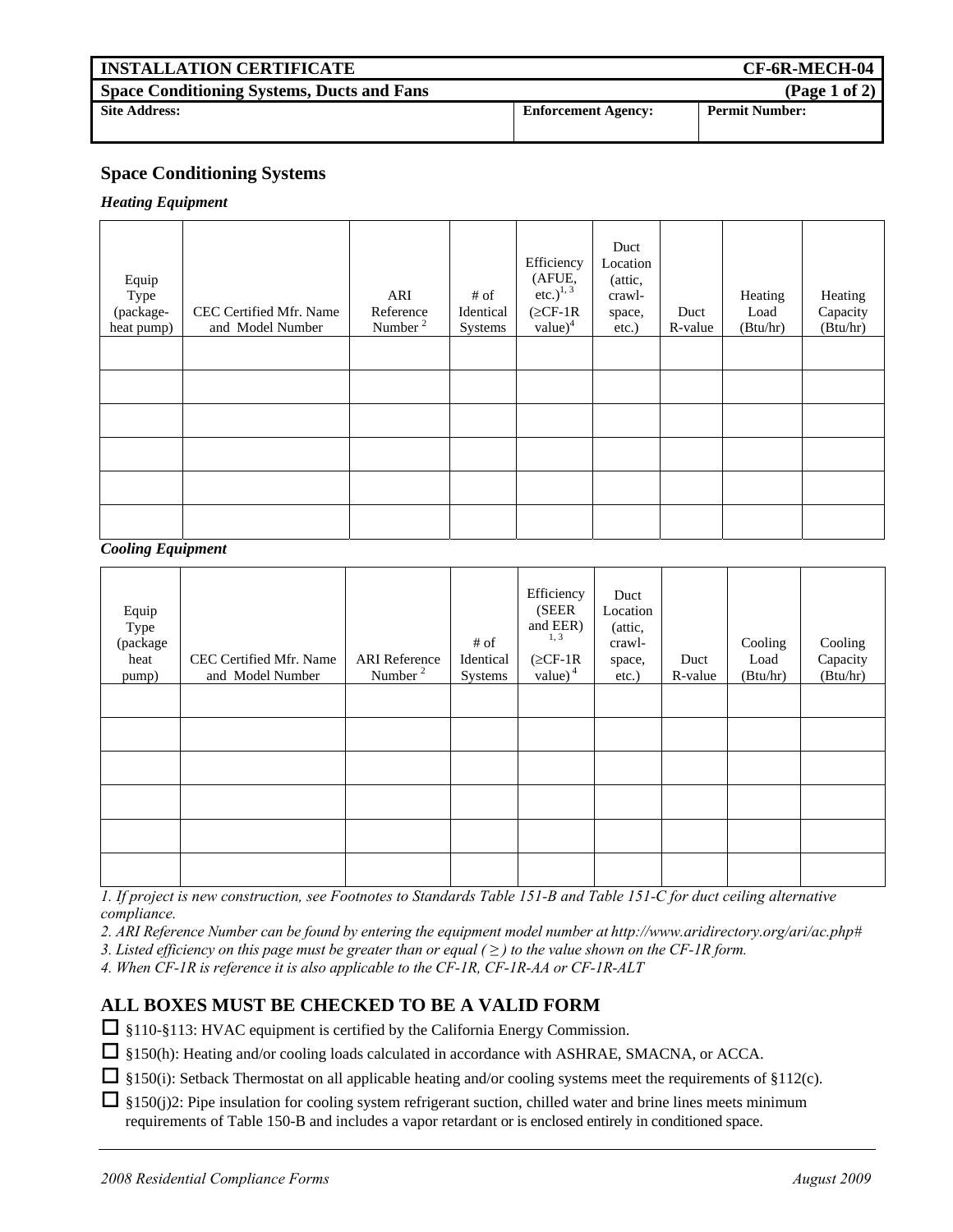| <b>INSTALLATION CERTIFICATE</b>                   |                            | CF-6R-MECH-04         |
|---------------------------------------------------|----------------------------|-----------------------|
| <b>Space Conditioning Systems, Ducts and Fans</b> |                            | (Page 1 of 2)         |
| <b>Site Address:</b>                              | <b>Enforcement Agency:</b> | <b>Permit Number:</b> |

### **Space Conditioning Systems**

#### *Heating Equipment*

| Equip<br>Type<br>(package-<br>heat pump) | CEC Certified Mfr. Name<br>and Model Number | ARI<br>Reference<br>Number <sup>2</sup> | $#$ of<br>Identical<br>Systems | Efficiency<br>(AFUE, etc.) <sup>1, 3</sup><br>$(\geq CF-1R)$<br>value $)^4$ | Duct<br>Location<br>(attic,<br>crawl-<br>space,<br>etc.) | Duct<br>R-value | Heating<br>Load<br>(Btu/hr) | Heating<br>Capacity<br>(Btu/hr) |
|------------------------------------------|---------------------------------------------|-----------------------------------------|--------------------------------|-----------------------------------------------------------------------------|----------------------------------------------------------|-----------------|-----------------------------|---------------------------------|
|                                          |                                             |                                         |                                |                                                                             |                                                          |                 |                             |                                 |
|                                          |                                             |                                         |                                |                                                                             |                                                          |                 |                             |                                 |
|                                          |                                             |                                         |                                |                                                                             |                                                          |                 |                             |                                 |
|                                          |                                             |                                         |                                |                                                                             |                                                          |                 |                             |                                 |
|                                          |                                             |                                         |                                |                                                                             |                                                          |                 |                             |                                 |
|                                          |                                             |                                         |                                |                                                                             |                                                          |                 |                             |                                 |

#### *Cooling Equipment*

| Equip<br>Type<br>(package<br>heat<br>pump) | CEC Certified Mfr. Name<br>and Model Number | <b>ARI</b> Reference<br>Number <sup>2</sup> | # of<br>Identical<br>Systems | Efficiency<br>(SEER<br>and EER)<br>1, 3<br>$(\geq CF-1R)$<br>value) $4$ | Duct<br>Location<br>(attic,<br>crawl-<br>space,<br>$etc.$ ) | Duct<br>R-value | Cooling<br>Load<br>(Btu/hr) | Cooling<br>Capacity<br>(Btu/hr) |
|--------------------------------------------|---------------------------------------------|---------------------------------------------|------------------------------|-------------------------------------------------------------------------|-------------------------------------------------------------|-----------------|-----------------------------|---------------------------------|
|                                            |                                             |                                             |                              |                                                                         |                                                             |                 |                             |                                 |
|                                            |                                             |                                             |                              |                                                                         |                                                             |                 |                             |                                 |
|                                            |                                             |                                             |                              |                                                                         |                                                             |                 |                             |                                 |
|                                            |                                             |                                             |                              |                                                                         |                                                             |                 |                             |                                 |
|                                            |                                             |                                             |                              |                                                                         |                                                             |                 |                             |                                 |
|                                            |                                             |                                             |                              |                                                                         |                                                             |                 |                             |                                 |

*1. If project is new construction, see Footnotes to Standards Table 151-B and Table 151-C for duct ceiling alternative compliance.* 

*2. ARI Reference Number can be found by entering the equipment model number at http://www.aridirectory.org/ari/ac.php#*

*3. Listed efficiency on this page must be greater than or equal (≥) to the value shown on the CF-1R form.* 

*4. When CF-1R is reference it is also applicable to the CF-1R, CF-1R-AA or CF-1R-ALT* 

## **ALL BOXES MUST BE CHECKED TO BE A VALID FORM**

 $\Box$  §110-§113: HVAC equipment is certified by the California Energy Commission.

§150(h): Heating and/or cooling loads calculated in accordance with ASHRAE, SMACNA, or ACCA.

 $\Box$  §150(i): Setback Thermostat on all applicable heating and/or cooling systems meet the requirements of §112(c).

 $\Box$  §150(j)2: Pipe insulation for cooling system refrigerant suction, chilled water and brine lines meets minimum requirements of Table 150-B and includes a vapor retardant or is enclosed entirely in conditioned space.